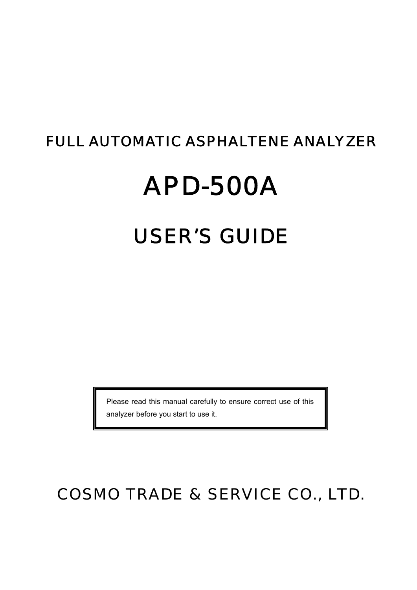## FULL AUTOMATIC ASPHALTENE ANALYZER

# APD-500A

## USER'S GUIDE

Please read this manual carefully to ensure correct use of this analyzer before you start to use it.

## COSMO TRADE & SERVICE CO., LTD.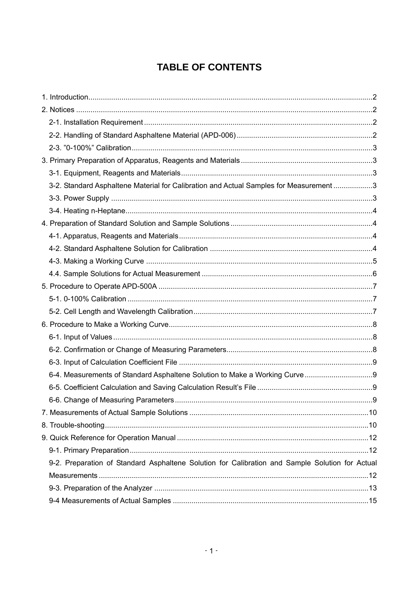### **TABLE OF CONTENTS**

| 3-2. Standard Asphaltene Material for Calibration and Actual Samples for Measurement 3          |  |
|-------------------------------------------------------------------------------------------------|--|
|                                                                                                 |  |
|                                                                                                 |  |
|                                                                                                 |  |
|                                                                                                 |  |
|                                                                                                 |  |
|                                                                                                 |  |
|                                                                                                 |  |
|                                                                                                 |  |
|                                                                                                 |  |
|                                                                                                 |  |
|                                                                                                 |  |
|                                                                                                 |  |
|                                                                                                 |  |
|                                                                                                 |  |
|                                                                                                 |  |
|                                                                                                 |  |
|                                                                                                 |  |
|                                                                                                 |  |
|                                                                                                 |  |
|                                                                                                 |  |
|                                                                                                 |  |
| 9-2. Preparation of Standard Asphaltene Solution for Calibration and Sample Solution for Actual |  |
|                                                                                                 |  |
|                                                                                                 |  |
|                                                                                                 |  |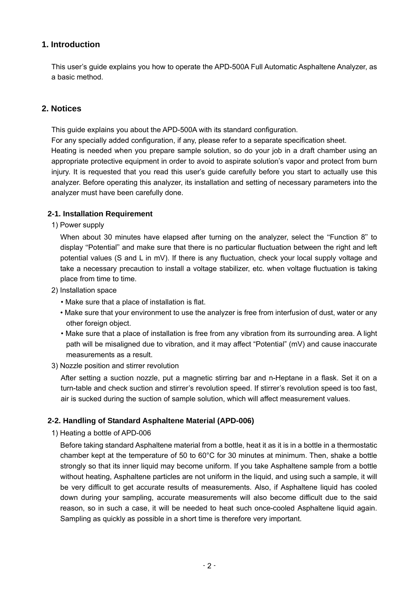#### <span id="page-2-0"></span>**1. Introduction**

This user's guide explains you how to operate the APD-500A Full Automatic Asphaltene Analyzer, as a basic method.

#### **2. Notices**

This guide explains you about the APD-500A with its standard configuration.

For any specially added configuration, if any, please refer to a separate specification sheet. Heating is needed when you prepare sample solution, so do your job in a draft chamber using an appropriate protective equipment in order to avoid to aspirate solution's vapor and protect from burn injury. It is requested that you read this user's guide carefully before you start to actually use this analyzer. Before operating this analyzer, its installation and setting of necessary parameters into the analyzer must have been carefully done.

#### **2-1. Installation Requirement**

1) Power supply

When about 30 minutes have elapsed after turning on the analyzer, select the "Function 8" to display "Potential" and make sure that there is no particular fluctuation between the right and left potential values (S and L in mV). If there is any fluctuation, check your local supply voltage and take a necessary precaution to install a voltage stabilizer, etc. when voltage fluctuation is taking place from time to time.

- 2) Installation space
	- Make sure that a place of installation is flat.
	- Make sure that your environment to use the analyzer is free from interfusion of dust, water or any other foreign object.
	- Make sure that a place of installation is free from any vibration from its surrounding area. A light path will be misaligned due to vibration, and it may affect "Potential" (mV) and cause inaccurate measurements as a result.
- 3) Nozzle position and stirrer revolution

After setting a suction nozzle, put a magnetic stirring bar and n-Heptane in a flask. Set it on a turn-table and check suction and stirrer's revolution speed. If stirrer's revolution speed is too fast, air is sucked during the suction of sample solution, which will affect measurement values.

#### **2-2. Handling of Standard Asphaltene Material (APD-006)**

1) Heating a bottle of APD-006

Before taking standard Asphaltene material from a bottle, heat it as it is in a bottle in a thermostatic chamber kept at the temperature of 50 to 60°C for 30 minutes at minimum. Then, shake a bottle strongly so that its inner liquid may become uniform. If you take Asphaltene sample from a bottle without heating, Asphaltene particles are not uniform in the liquid, and using such a sample, it will be very difficult to get accurate results of measurements. Also, if Asphaltene liquid has cooled down during your sampling, accurate measurements will also become difficult due to the said reason, so in such a case, it will be needed to heat such once-cooled Asphaltene liquid again. Sampling as quickly as possible in a short time is therefore very important.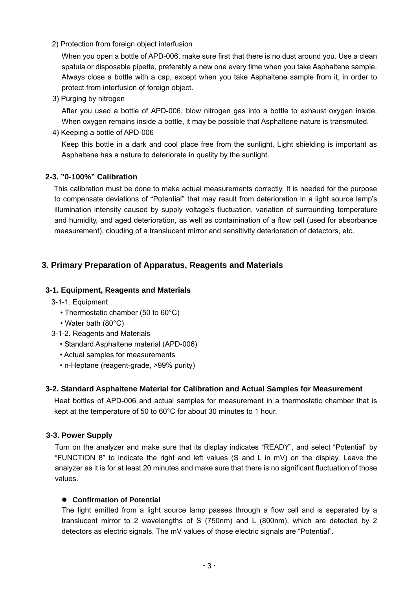<span id="page-3-0"></span>2) Protection from foreign object interfusion

When you open a bottle of APD-006, make sure first that there is no dust around you. Use a clean spatula or disposable pipette, preferably a new one every time when you take Asphaltene sample. Always close a bottle with a cap, except when you take Asphaltene sample from it, in order to protect from interfusion of foreign object.

3) Purging by nitrogen

After you used a bottle of APD-006, blow nitrogen gas into a bottle to exhaust oxygen inside. When oxygen remains inside a bottle, it may be possible that Asphaltene nature is transmuted.

4) Keeping a bottle of APD-006

Keep this bottle in a dark and cool place free from the sunlight. Light shielding is important as Asphaltene has a nature to deteriorate in quality by the sunlight.

#### **2-3. "0-100%" Calibration**

This calibration must be done to make actual measurements correctly. It is needed for the purpose to compensate deviations of "Potential" that may result from deterioration in a light source lamp's illumination intensity caused by supply voltage's fluctuation, variation of surrounding temperature and humidity, and aged deterioration, as well as contamination of a flow cell (used for absorbance measurement), clouding of a translucent mirror and sensitivity deterioration of detectors, etc.

#### **3. Primary Preparation of Apparatus, Reagents and Materials**

#### **3-1. Equipment, Reagents and Materials**

- 3-1-1. Equipment
	- Thermostatic chamber (50 to 60°C)
	- Water bath (80°C)
- 3-1-2. Reagents and Materials
	- Standard Asphaltene material (APD-006)
	- Actual samples for measurements
	- n-Heptane (reagent-grade, >99% purity)

#### **3-2. Standard Asphaltene Material for Calibration and Actual Samples for Measurement**

Heat bottles of APD-006 and actual samples for measurement in a thermostatic chamber that is kept at the temperature of 50 to 60°C for about 30 minutes to 1 hour.

#### **3-3. Power Supply**

Turn on the analyzer and make sure that its display indicates "READY", and select "Potential" by "FUNCTION 8" to indicate the right and left values (S and L in mV) on the display. Leave the analyzer as it is for at least 20 minutes and make sure that there is no significant fluctuation of those values.

#### **• Confirmation of Potential**

The light emitted from a light source lamp passes through a flow cell and is separated by a translucent mirror to 2 wavelengths of S (750nm) and L (800nm), which are detected by 2 detectors as electric signals. The mV values of those electric signals are "Potential".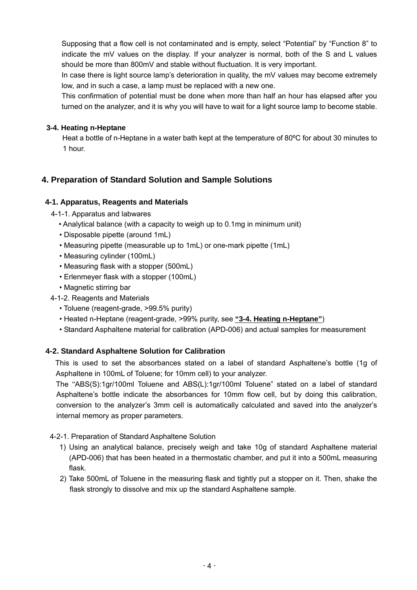<span id="page-4-0"></span>Supposing that a flow cell is not contaminated and is empty, select "Potential" by "Function 8" to indicate the mV values on the display. If your analyzer is normal, both of the S and L values should be more than 800mV and stable without fluctuation. It is very important.

In case there is light source lamp's deterioration in quality, the mV values may become extremely low, and in such a case, a lamp must be replaced with a new one.

This confirmation of potential must be done when more than half an hour has elapsed after you turned on the analyzer, and it is why you will have to wait for a light source lamp to become stable.

#### **3-4. Heating n-Heptane**

Heat a bottle of n-Heptane in a water bath kept at the temperature of 80ºC for about 30 minutes to 1 hour.

#### **4. Preparation of Standard Solution and Sample Solutions**

#### **4-1. Apparatus, Reagents and Materials**

- 4-1-1. Apparatus and labwares
	- Analytical balance (with a capacity to weigh up to 0.1mg in minimum unit)
	- Disposable pipette (around 1mL)
	- Measuring pipette (measurable up to 1mL) or one-mark pipette (1mL)
	- Measuring cylinder (100mL)
	- Measuring flask with a stopper (500mL)
	- Erlenmeyer flask with a stopper (100mL)
	- Magnetic stirring bar
- 4-1-2. Reagents and Materials
	- Toluene (reagent-grade, >99.5% purity)
	- Heated n-Heptane (reagent-grade, >99% purity, see **"3-4. Heating n-Heptane"**)
	- Standard Asphaltene material for calibration (APD-006) and actual samples for measurement

#### **4-2. Standard Asphaltene Solution for Calibration**

This is used to set the absorbances stated on a label of standard Asphaltene's bottle (1g of Asphaltene in 100mL of Toluene; for 10mm cell) to your analyzer.

The "ABS(S):1gr/100ml Toluene and ABS(L):1gr/100ml Toluene" stated on a label of standard Asphaltene's bottle indicate the absorbances for 10mm flow cell, but by doing this calibration, conversion to the analyzer's 3mm cell is automatically calculated and saved into the analyzer's internal memory as proper parameters.

#### 4-2-1. Preparation of Standard Asphaltene Solution

- 1) Using an analytical balance, precisely weigh and take 10g of standard Asphaltene material (APD-006) that has been heated in a thermostatic chamber, and put it into a 500mL measuring flask.
- 2) Take 500mL of Toluene in the measuring flask and tightly put a stopper on it. Then, shake the flask strongly to dissolve and mix up the standard Asphaltene sample.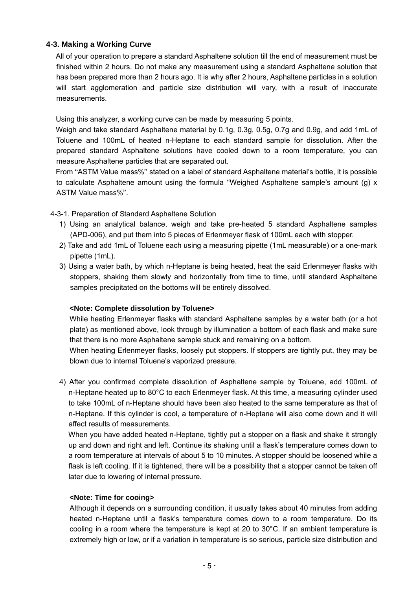#### <span id="page-5-0"></span>**4-3. Making a Working Curve**

All of your operation to prepare a standard Asphaltene solution till the end of measurement must be finished within 2 hours. Do not make any measurement using a standard Asphaltene solution that has been prepared more than 2 hours ago. It is why after 2 hours, Asphaltene particles in a solution will start agglomeration and particle size distribution will vary, with a result of inaccurate measurements.

Using this analyzer, a working curve can be made by measuring 5 points.

Weigh and take standard Asphaltene material by 0.1g, 0.3g, 0.5g, 0.7g and 0.9g, and add 1mL of Toluene and 100mL of heated n-Heptane to each standard sample for dissolution. After the prepared standard Asphaltene solutions have cooled down to a room temperature, you can measure Asphaltene particles that are separated out.

From "ASTM Value mass%" stated on a label of standard Asphaltene material's bottle, it is possible to calculate Asphaltene amount using the formula "Weighed Asphaltene sample's amount (g) x ASTM Value mass%".

4-3-1. Preparation of Standard Asphaltene Solution

- 1) Using an analytical balance, weigh and take pre-heated 5 standard Asphaltene samples (APD-006), and put them into 5 pieces of Erlenmeyer flask of 100mL each with stopper.
- 2) Take and add 1mL of Toluene each using a measuring pipette (1mL measurable) or a one-mark pipette (1mL).
- 3) Using a water bath, by which n-Heptane is being heated, heat the said Erlenmeyer flasks with stoppers, shaking them slowly and horizontally from time to time, until standard Asphaltene samples precipitated on the bottoms will be entirely dissolved.

#### **<Note: Complete dissolution by Toluene>**

While heating Erlenmeyer flasks with standard Asphaltene samples by a water bath (or a hot plate) as mentioned above, look through by illumination a bottom of each flask and make sure that there is no more Asphaltene sample stuck and remaining on a bottom.

When heating Erlenmeyer flasks, loosely put stoppers. If stoppers are tightly put, they may be blown due to internal Toluene's vaporized pressure.

4) After you confirmed complete dissolution of Asphaltene sample by Toluene, add 100mL of n-Heptane heated up to 80°C to each Erlenmeyer flask. At this time, a measuring cylinder used to take 100mL of n-Heptane should have been also heated to the same temperature as that of n-Heptane. If this cylinder is cool, a temperature of n-Heptane will also come down and it will affect results of measurements.

When you have added heated n-Heptane, tightly put a stopper on a flask and shake it strongly up and down and right and left. Continue its shaking until a flask's temperature comes down to a room temperature at intervals of about 5 to 10 minutes. A stopper should be loosened while a flask is left cooling. If it is tightened, there will be a possibility that a stopper cannot be taken off later due to lowering of internal pressure.

#### **<Note: Time for cooing>**

Although it depends on a surrounding condition, it usually takes about 40 minutes from adding heated n-Heptane until a flask's temperature comes down to a room temperature. Do its cooling in a room where the temperature is kept at 20 to 30°C. If an ambient temperature is extremely high or low, or if a variation in temperature is so serious, particle size distribution and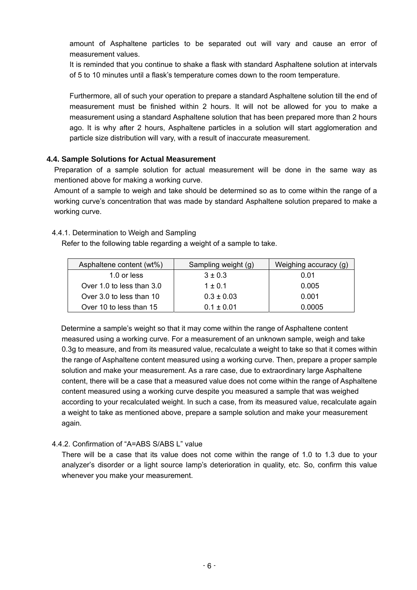<span id="page-6-0"></span>amount of Asphaltene particles to be separated out will vary and cause an error of measurement values.

It is reminded that you continue to shake a flask with standard Asphaltene solution at intervals of 5 to 10 minutes until a flask's temperature comes down to the room temperature.

Furthermore, all of such your operation to prepare a standard Asphaltene solution till the end of measurement must be finished within 2 hours. It will not be allowed for you to make a measurement using a standard Asphaltene solution that has been prepared more than 2 hours ago. It is why after 2 hours, Asphaltene particles in a solution will start agglomeration and particle size distribution will vary, with a result of inaccurate measurement.

#### **4.4. Sample Solutions for Actual Measurement**

Preparation of a sample solution for actual measurement will be done in the same way as mentioned above for making a working curve.

Amount of a sample to weigh and take should be determined so as to come within the range of a working curve's concentration that was made by standard Asphaltene solution prepared to make a working curve.

#### 4.4.1. Determination to Weigh and Sampling

Refer to the following table regarding a weight of a sample to take.

| Asphaltene content (wt%)  | Sampling weight (g) | Weighing accuracy (g) |  |
|---------------------------|---------------------|-----------------------|--|
| 1.0 or less               | $3 \pm 0.3$         | 0.01                  |  |
| Over 1.0 to less than 3.0 | $1 \pm 0.1$         | 0.005                 |  |
| Over 3.0 to less than 10  | $0.3 \pm 0.03$      | 0.001                 |  |
| Over 10 to less than 15   | $0.1 \pm 0.01$      | 0.0005                |  |

Determine a sample's weight so that it may come within the range of Asphaltene content measured using a working curve. For a measurement of an unknown sample, weigh and take 0.3g to measure, and from its measured value, recalculate a weight to take so that it comes within the range of Asphaltene content measured using a working curve. Then, prepare a proper sample solution and make your measurement. As a rare case, due to extraordinary large Asphaltene content, there will be a case that a measured value does not come within the range of Asphaltene content measured using a working curve despite you measured a sample that was weighed according to your recalculated weight. In such a case, from its measured value, recalculate again a weight to take as mentioned above, prepare a sample solution and make your measurement again.

#### 4.4.2. Confirmation of "A=ABS S/ABS L" value

There will be a case that its value does not come within the range of 1.0 to 1.3 due to your analyzer's disorder or a light source lamp's deterioration in quality, etc. So, confirm this value whenever you make your measurement.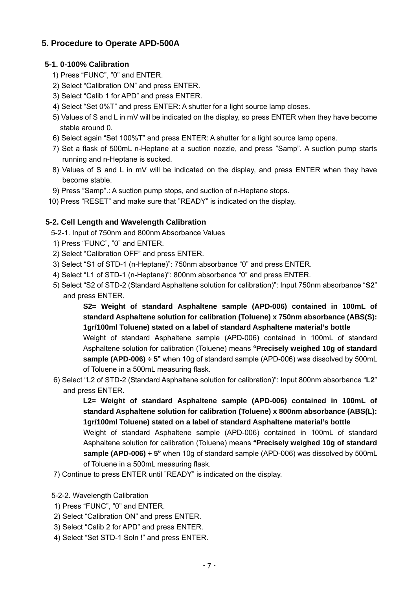#### <span id="page-7-0"></span>**5. Procedure to Operate APD-500A**

#### **5-1. 0-100% Calibration**

- 1) Press "FUNC", "0" and ENTER.
- 2) Select "Calibration ON" and press ENTER.
- 3) Select "Calib 1 for APD" and press ENTER.
- 4) Select "Set 0%T" and press ENTER: A shutter for a light source lamp closes.
- 5) Values of S and L in mV will be indicated on the display, so press ENTER when they have become stable around 0.
- 6) Select again "Set 100%T" and press ENTER: A shutter for a light source lamp opens.
- 7) Set a flask of 500mL n-Heptane at a suction nozzle, and press "Samp". A suction pump starts running and n-Heptane is sucked.
- 8) Values of S and L in mV will be indicated on the display, and press ENTER when they have become stable.
- 9) Press "Samp".: A suction pump stops, and suction of n-Heptane stops.
- 10) Press "RESET" and make sure that "READY" is indicated on the display.

#### **5-2. Cell Length and Wavelength Calibration**

5-2-1. Input of 750nm and 800nm Absorbance Values

- 1) Press "FUNC", "0" and ENTER.
- 2) Select "Calibration OFF" and press ENTER.
- 3) Select "S1 of STD-1 (n-Heptane)": 750nm absorbance "0" and press ENTER.
- 4) Select "L1 of STD-1 (n-Heptane)": 800nm absorbance "0" and press ENTER.
- 5) Select "S2 of STD-2 (Standard Asphaltene solution for calibration)": Input 750nm absorbance "**S2**" and press ENTER.

**S2= Weight of standard Asphaltene sample (APD-006) contained in 100mL of standard Asphaltene solution for calibration (Toluene) x 750nm absorbance (ABS(S): 1gr/100ml Toluene) stated on a label of standard Asphaltene material's bottle** 

Weight of standard Asphaltene sample (APD-006) contained in 100mL of standard Asphaltene solution for calibration (Toluene) means "**Precisely weighed 10g of standard sample (APD-006) ÷ 5**" when 10g of standard sample (APD-006) was dissolved by 500mL of Toluene in a 500mL measuring flask.

6) Select "L2 of STD-2 (Standard Asphaltene solution for calibration)": Input 800nm absorbance "**L2**" and press ENTER.

**L2= Weight of standard Asphaltene sample (APD-006) contained in 100mL of standard Asphaltene solution for calibration (Toluene) x 800nm absorbance (ABS(L): 1gr/100ml Toluene) stated on a label of standard Asphaltene material's bottle**  Weight of standard Asphaltene sample (APD-006) contained in 100mL of standard Asphaltene solution for calibration (Toluene) means "**Precisely weighed 10g of standard sample (APD-006) ÷ 5**" when 10g of standard sample (APD-006) was dissolved by 500mL of Toluene in a 500mL measuring flask.

- 7) Continue to press ENTER until "READY" is indicated on the display.
- 5-2-2. Wavelength Calibration
- 1) Press "FUNC", "0" and ENTER.
- 2) Select "Calibration ON" and press ENTER.
- 3) Select "Calib 2 for APD" and press ENTER.
- 4) Select "Set STD-1 Soln !" and press ENTER.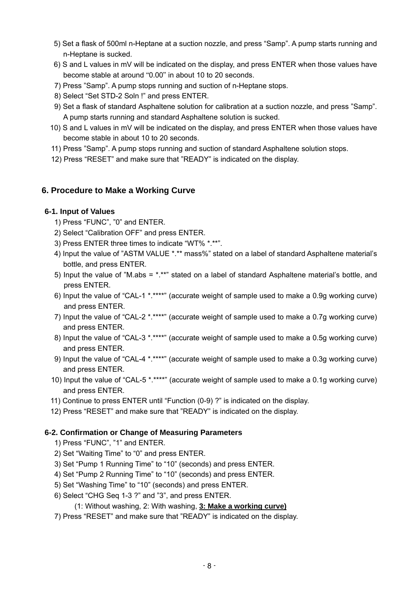- <span id="page-8-0"></span>5) Set a flask of 500ml n-Heptane at a suction nozzle, and press "Samp". A pump starts running and n-Heptane is sucked.
- 6) S and L values in mV will be indicated on the display, and press ENTER when those values have become stable at around "0.00" in about 10 to 20 seconds.
- 7) Press "Samp". A pump stops running and suction of n-Heptane stops.
- 8) Select "Set STD-2 Soln !" and press ENTER.
- 9) Set a flask of standard Asphaltene solution for calibration at a suction nozzle, and press "Samp". A pump starts running and standard Asphaltene solution is sucked.
- 10) S and L values in mV will be indicated on the display, and press ENTER when those values have become stable in about 10 to 20 seconds.
- 11) Press "Samp". A pump stops running and suction of standard Asphaltene solution stops.
- 12) Press "RESET" and make sure that "READY" is indicated on the display.

#### **6. Procedure to Make a Working Curve**

#### **6-1. Input of Values**

- 1) Press "FUNC", "0" and ENTER.
- 2) Select "Calibration OFF" and press ENTER.
- 3) Press ENTER three times to indicate "WT% \*.\*\*".
- 4) Input the value of "ASTM VALUE \*.\*\* mass%" stated on a label of standard Asphaltene material's bottle, and press ENTER.
- 5) Input the value of "M.abs = \*.\*\*" stated on a label of standard Asphaltene material's bottle, and press ENTER.
- 6) Input the value of "CAL-1 \*.\*\*\*\*" (accurate weight of sample used to make a 0.9g working curve) and press ENTER.
- 7) Input the value of "CAL-2 \*.\*\*\*\*" (accurate weight of sample used to make a 0.7g working curve) and press ENTER.
- 8) Input the value of "CAL-3 \*.\*\*\*\*" (accurate weight of sample used to make a 0.5g working curve) and press ENTER.
- 9) Input the value of "CAL-4 \*.\*\*\*\*" (accurate weight of sample used to make a 0.3g working curve) and press ENTER.
- 10) Input the value of "CAL-5 \*.\*\*\*\*" (accurate weight of sample used to make a 0.1g working curve) and press ENTER.
- 11) Continue to press ENTER until "Function (0-9) ?" is indicated on the display.
- 12) Press "RESET" and make sure that "READY" is indicated on the display.

#### **6-2. Confirmation or Change of Measuring Parameters**

- 1) Press "FUNC", "1" and ENTER.
- 2) Set "Waiting Time" to "0" and press ENTER.
- 3) Set "Pump 1 Running Time" to "10" (seconds) and press ENTER.
- 4) Set "Pump 2 Running Time" to "10" (seconds) and press ENTER.
- 5) Set "Washing Time" to "10" (seconds) and press ENTER.
- 6) Select "CHG Seq 1-3 ?" and "3", and press ENTER.
	- (1: Without washing, 2: With washing, **3: Make a working curve)**
- 7) Press "RESET" and make sure that "READY" is indicated on the display.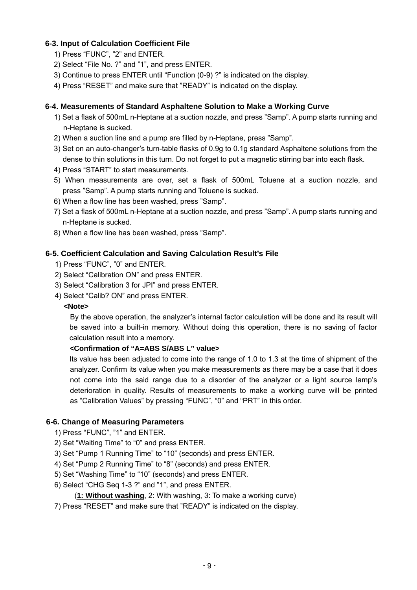#### <span id="page-9-0"></span>**6-3. Input of Calculation Coefficient File**

- 1) Press "FUNC", "2" and ENTER.
- 2) Select "File No. ?" and "1", and press ENTER.
- 3) Continue to press ENTER until "Function (0-9) ?" is indicated on the display.
- 4) Press "RESET" and make sure that "READY" is indicated on the display.

#### **6-4. Measurements of Standard Asphaltene Solution to Make a Working Curve**

- 1) Set a flask of 500mL n-Heptane at a suction nozzle, and press "Samp". A pump starts running and n-Heptane is sucked.
- 2) When a suction line and a pump are filled by n-Heptane, press "Samp".
- 3) Set on an auto-changer's turn-table flasks of 0.9g to 0.1g standard Asphaltene solutions from the dense to thin solutions in this turn. Do not forget to put a magnetic stirring bar into each flask.
- 4) Press "START" to start measurements.
- 5) When measurements are over, set a flask of 500mL Toluene at a suction nozzle, and press "Samp". A pump starts running and Toluene is sucked.
- 6) When a flow line has been washed, press "Samp".
- 7) Set a flask of 500mL n-Heptane at a suction nozzle, and press "Samp". A pump starts running and n-Heptane is sucked.
- 8) When a flow line has been washed, press "Samp".

#### **6-5. Coefficient Calculation and Saving Calculation Result's File**

- 1) Press "FUNC", "0" and ENTER.
- 2) Select "Calibration ON" and press ENTER.
- 3) Select "Calibration 3 for JPI" and press ENTER.
- 4) Select "Calib? ON" and press ENTER.

#### **<Note>**

By the above operation, the analyzer's internal factor calculation will be done and its result will be saved into a built-in memory. Without doing this operation, there is no saving of factor calculation result into a memory.

#### **<Confirmation of "A=ABS S/ABS L" value>**

Its value has been adjusted to come into the range of 1.0 to 1.3 at the time of shipment of the analyzer. Confirm its value when you make measurements as there may be a case that it does not come into the said range due to a disorder of the analyzer or a light source lamp's deterioration in quality. Results of measurements to make a working curve will be printed as "Calibration Values" by pressing "FUNC", "0" and "PRT" in this order.

#### **6-6. Change of Measuring Parameters**

- 1) Press "FUNC", "1" and ENTER.
- 2) Set "Waiting Time" to "0" and press ENTER.
- 3) Set "Pump 1 Running Time" to "10" (seconds) and press ENTER.
- 4) Set "Pump 2 Running Time" to "8" (seconds) and press ENTER.
- 5) Set "Washing Time" to "10" (seconds) and press ENTER.
- 6) Select "CHG Seq 1-3 ?" and "1", and press ENTER.
	- (**1: Without washing**, 2: With washing, 3: To make a working curve)
- 7) Press "RESET" and make sure that "READY" is indicated on the display.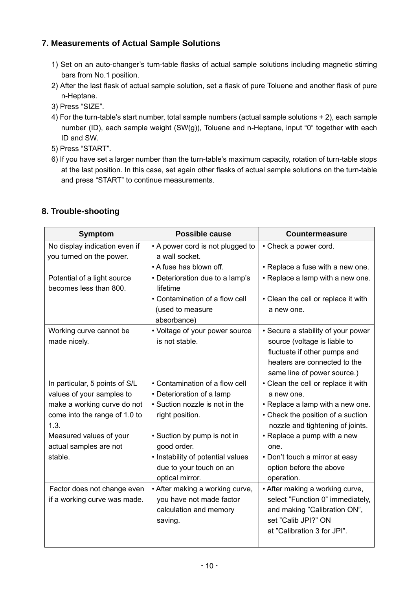#### <span id="page-10-0"></span>**7. Measurements of Actual Sample Solutions**

- 1) Set on an auto-changer's turn-table flasks of actual sample solutions including magnetic stirring bars from No.1 position.
- 2) After the last flask of actual sample solution, set a flask of pure Toluene and another flask of pure n-Heptane.
- 3) Press "SIZE".
- 4) For the turn-table's start number, total sample numbers (actual sample solutions + 2), each sample number (ID), each sample weight (SW(g)), Toluene and n-Heptane, input "0" together with each ID and SW.
- 5) Press "START".
- 6) If you have set a larger number than the turn-table's maximum capacity, rotation of turn-table stops at the last position. In this case, set again other flasks of actual sample solutions on the turn-table and press "START" to continue measurements.

| Symptom                                                              | <b>Possible cause</b>                                                                            | Countermeasure                                                                                                                                                    |
|----------------------------------------------------------------------|--------------------------------------------------------------------------------------------------|-------------------------------------------------------------------------------------------------------------------------------------------------------------------|
| No display indication even if<br>you turned on the power.            | • A power cord is not plugged to<br>a wall socket.                                               | • Check a power cord.                                                                                                                                             |
|                                                                      | • A fuse has blown off.                                                                          | • Replace a fuse with a new one.                                                                                                                                  |
| Potential of a light source<br>becomes less than 800.                | • Deterioration due to a lamp's<br>lifetime                                                      | • Replace a lamp with a new one.                                                                                                                                  |
|                                                                      | • Contamination of a flow cell<br>(used to measure                                               | • Clean the cell or replace it with<br>a new one.                                                                                                                 |
|                                                                      | absorbance)                                                                                      |                                                                                                                                                                   |
| Working curve cannot be<br>made nicely.                              | • Voltage of your power source<br>is not stable.                                                 | • Secure a stability of your power<br>source (voltage is liable to<br>fluctuate if other pumps and<br>heaters are connected to the<br>same line of power source.) |
| In particular, 5 points of S/L                                       | • Contamination of a flow cell                                                                   | • Clean the cell or replace it with                                                                                                                               |
| values of your samples to                                            | • Deterioration of a lamp                                                                        | a new one.                                                                                                                                                        |
| make a working curve do not<br>come into the range of 1.0 to<br>1.3. | • Suction nozzle is not in the<br>right position.                                                | • Replace a lamp with a new one.<br>• Check the position of a suction<br>nozzle and tightening of joints.                                                         |
| Measured values of your<br>actual samples are not                    | • Suction by pump is not in<br>good order.                                                       | • Replace a pump with a new<br>one.                                                                                                                               |
| stable.                                                              | • Instability of potential values<br>due to your touch on an<br>optical mirror.                  | • Don't touch a mirror at easy<br>option before the above<br>operation.                                                                                           |
| Factor does not change even<br>if a working curve was made.          | • After making a working curve,<br>you have not made factor<br>calculation and memory<br>saving. | • After making a working curve,<br>select "Function 0" immediately,<br>and making "Calibration ON",<br>set "Calib JPI?" ON<br>at "Calibration 3 for JPI".         |

#### **8. Trouble-shooting**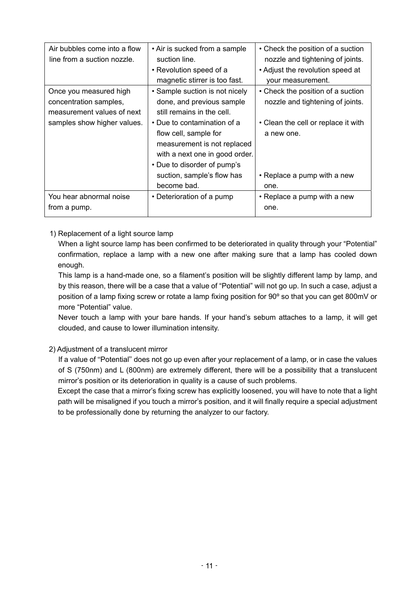| Air bubbles come into a flow                                                   | • Air is sucked from a sample                                                                                         | • Check the position of a suction                                     |
|--------------------------------------------------------------------------------|-----------------------------------------------------------------------------------------------------------------------|-----------------------------------------------------------------------|
| line from a suction nozzle.                                                    | suction line.                                                                                                         | nozzle and tightening of joints.                                      |
|                                                                                | • Revolution speed of a                                                                                               | • Adjust the revolution speed at                                      |
|                                                                                | magnetic stirrer is too fast.                                                                                         | your measurement.                                                     |
| Once you measured high<br>concentration samples,<br>measurement values of next | • Sample suction is not nicely<br>done, and previous sample<br>still remains in the cell.                             | • Check the position of a suction<br>nozzle and tightening of joints. |
| samples show higher values.                                                    | • Due to contamination of a                                                                                           | • Clean the cell or replace it with                                   |
|                                                                                | flow cell, sample for<br>measurement is not replaced<br>with a next one in good order.<br>• Due to disorder of pump's | a new one.                                                            |
|                                                                                | suction, sample's flow has                                                                                            | • Replace a pump with a new                                           |
|                                                                                | become bad.                                                                                                           | one.                                                                  |
| You hear abnormal noise                                                        | • Deterioration of a pump                                                                                             | • Replace a pump with a new                                           |
| from a pump.                                                                   |                                                                                                                       | one.                                                                  |
|                                                                                |                                                                                                                       |                                                                       |

#### 1) Replacement of a light source lamp

When a light source lamp has been confirmed to be deteriorated in quality through your "Potential" confirmation, replace a lamp with a new one after making sure that a lamp has cooled down enough.

This lamp is a hand-made one, so a filament's position will be slightly different lamp by lamp, and by this reason, there will be a case that a value of "Potential" will not go up. In such a case, adjust a position of a lamp fixing screw or rotate a lamp fixing position for 90º so that you can get 800mV or more "Potential" value.

Never touch a lamp with your bare hands. If your hand's sebum attaches to a lamp, it will get clouded, and cause to lower illumination intensity.

#### 2) Adjustment of a translucent mirror

If a value of "Potential" does not go up even after your replacement of a lamp, or in case the values of S (750nm) and L (800nm) are extremely different, there will be a possibility that a translucent mirror's position or its deterioration in quality is a cause of such problems.

Except the case that a mirror's fixing screw has explicitly loosened, you will have to note that a light path will be misaligned if you touch a mirror's position, and it will finally require a special adjustment to be professionally done by returning the analyzer to our factory.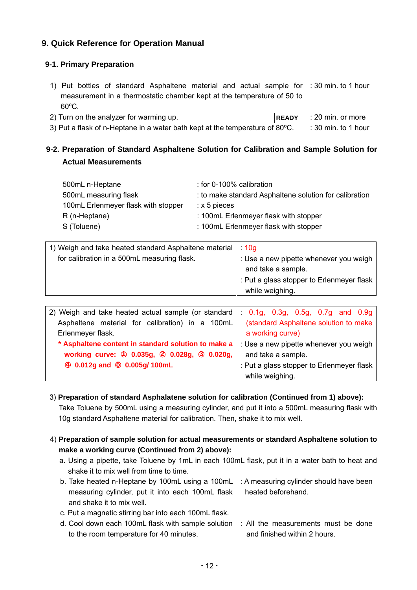#### <span id="page-12-0"></span>**9. Quick Reference for Operation Manual**

#### **9-1. Primary Preparation**

- 1) Put bottles of standard Asphaltene material and actual sample for : 30 min. to 1 hour measurement in a thermostatic chamber kept at the temperature of 50 to 60ºC.
- 2) Turn on the analyzer for warming up. **EXELLARE THE READY** 20 min. or more **READY**
- 3) Put a flask of n-Heptane in a water bath kept at the temperature of  $80^{\circ}$ C.  $\therefore$  30 min. to 1 hour

#### **9-2. Preparation of Standard Asphaltene Solution for Calibration and Sample Solution for Actual Measurements**

| 500mL n-Heptane                     | : for 0-100% calibration                               |
|-------------------------------------|--------------------------------------------------------|
| 500mL measuring flask               | : to make standard Asphaltene solution for calibration |
| 100mL Erlenmeyer flask with stopper | $: x 5$ pieces                                         |
| R (n-Heptane)                       | : 100mL Erlenmeyer flask with stopper                  |
| S (Toluene)                         | : 100mL Erlenmeyer flask with stopper                  |

| 1) Weigh and take heated standard Asphaltene material<br>for calibration in a 500mL measuring flask. | 10q<br>: Use a new pipette whenever you weigh<br>and take a sample.<br>: Put a glass stopper to Erlenmeyer flask<br>while weighing. |
|------------------------------------------------------------------------------------------------------|-------------------------------------------------------------------------------------------------------------------------------------|
| 2) Weigh and take heated actual sample (or standard : 0.1g, 0.3g, 0.5g, 0.7g and 0.9g                |                                                                                                                                     |

| $\epsilon$ , rough and take neated actual sample (or standard $\epsilon$ . org, org, org, org, and org, |                                           |
|---------------------------------------------------------------------------------------------------------|-------------------------------------------|
| Asphaltene material for calibration) in a 100mL                                                         | (standard Asphaltene solution to make     |
| Erlenmeyer flask.                                                                                       | a working curve)                          |
| * Asphaltene content in standard solution to make a                                                     | : Use a new pipette whenever you weigh    |
| working curve: ① 0.035g, ② 0.028g, ③ 0.020g,                                                            | and take a sample.                        |
| $\Phi$ 0.012g and $\Phi$ 0.005g/ 100mL                                                                  | : Put a glass stopper to Erlenmeyer flask |
|                                                                                                         | while weighing.                           |

- 3) **Preparation of standard Asphalatene solution for calibration (Continued from 1) above):** Take Toluene by 500mL using a measuring cylinder, and put it into a 500mL measuring flask with 10g standard Asphaltene material for calibration. Then, shake it to mix well.
- 4) **Preparation of sample solution for actual measurements or standard Asphaltene solution to make a working curve (Continued from 2) above):** 
	- a. Using a pipette, take Toluene by 1mL in each 100mL flask, put it in a water bath to heat and shake it to mix well from time to time.
	- b. Take heated n-Heptane by 100mL using a 100mL : A measuring cylinder should have been measuring cylinder, put it into each 100mL flask and shake it to mix well. heated beforehand.
	- c. Put a magnetic stirring bar into each 100mL flask.
	- d. Cool down each 100mL flask with sample solution : All the measurements must be done to the room temperature for 40 minutes. and finished within 2 hours.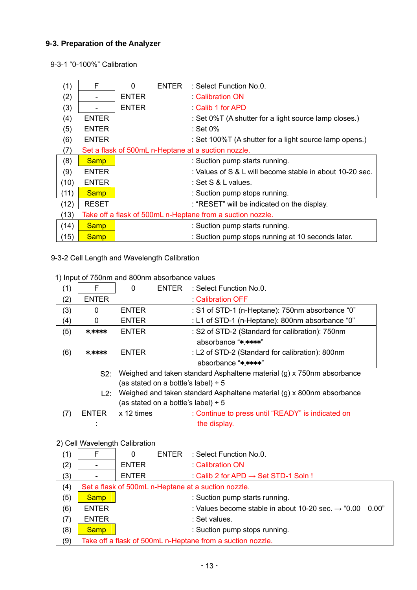#### <span id="page-13-0"></span>**9-3. Preparation of the Analyzer**

9-3-1 "0-100%" Calibration

| (1)  | F            | 0            | ENTER | : Select Function No.0.                                    |
|------|--------------|--------------|-------|------------------------------------------------------------|
| (2)  |              | <b>ENTER</b> |       | <b>Calibration ON</b>                                      |
| (3)  |              | <b>ENTER</b> |       | Calib 1 for APD                                            |
| (4)  | <b>ENTER</b> |              |       | : Set 0%T (A shutter for a light source lamp closes.)      |
| (5)  | <b>ENTER</b> |              |       | : Set 0%                                                   |
| (6)  | <b>ENTER</b> |              |       | : Set 100%T (A shutter for a light source lamp opens.)     |
| (7)  |              |              |       | Set a flask of 500mL n-Heptane at a suction nozzle.        |
| (8)  | <b>Samp</b>  |              |       | : Suction pump starts running.                             |
| (9)  | <b>ENTER</b> |              |       | : Values of S & L will become stable in about 10-20 sec.   |
| (10) | <b>ENTER</b> |              |       | : Set S & L values.                                        |
| (11) | <b>Samp</b>  |              |       | : Suction pump stops running.                              |
| (12) | <b>RESET</b> |              |       | : "RESET" will be indicated on the display.                |
| (13) |              |              |       | Take off a flask of 500mL n-Heptane from a suction nozzle. |
| (14) | <b>Samp</b>  |              |       | : Suction pump starts running.                             |
| (15) | <b>Samp</b>  |              |       | : Suction pump stops running at 10 seconds later.          |

9-3-2 Cell Length and Wavelength Calibration

1) Input of 750nm and 800nm absorbance values

| (1) | F                              | $\mathbf 0$                                                           | <b>ENTER</b>                                    | : Select Function No.0.                                               |       |
|-----|--------------------------------|-----------------------------------------------------------------------|-------------------------------------------------|-----------------------------------------------------------------------|-------|
| (2) | <b>ENTER</b>                   |                                                                       |                                                 | <b>Calibration OFF</b>                                                |       |
| (3) | 0                              | <b>ENTER</b>                                                          |                                                 | : S1 of STD-1 (n-Heptane): 750nm absorbance "0"                       |       |
| (4) | 0                              | <b>ENTER</b>                                                          | : L1 of STD-1 (n-Heptane): 800nm absorbance "0" |                                                                       |       |
| (5) | $*****$                        | <b>ENTER</b>                                                          |                                                 | : S2 of STD-2 (Standard for calibration): 750nm                       |       |
|     |                                |                                                                       |                                                 | absorbance "*.****"                                                   |       |
| (6) | * ****                         | <b>ENTER</b>                                                          |                                                 | : L2 of STD-2 (Standard for calibration): 800nm                       |       |
|     |                                |                                                                       |                                                 | absorbance "*.****"                                                   |       |
|     | $S2$ :                         |                                                                       |                                                 | Weighed and taken standard Asphaltene material (g) x 750nm absorbance |       |
|     |                                |                                                                       |                                                 | (as stated on a bottle's label) $\div$ 5                              |       |
|     | L2:                            | Weighed and taken standard Asphaltene material (g) x 800nm absorbance |                                                 |                                                                       |       |
|     |                                | (as stated on a bottle's label) $\div$ 5                              |                                                 |                                                                       |       |
| (7) | <b>ENTER</b>                   | x 12 times                                                            |                                                 | : Continue to press until "READY" is indicated on                     |       |
|     |                                |                                                                       |                                                 | the display.                                                          |       |
|     | 2) Cell Wavelength Calibration |                                                                       |                                                 |                                                                       |       |
| (1) | F                              | 0                                                                     |                                                 | <b>ENTER</b> : Select Function No.0.                                  |       |
| (2) |                                | <b>ENTER</b>                                                          |                                                 | <b>Calibration ON</b>                                                 |       |
| (3) |                                | <b>ENTER</b>                                                          |                                                 | Calib 2 for APD $\rightarrow$ Set STD-1 Soln !                        |       |
| (4) |                                |                                                                       |                                                 | Set a flask of 500mL n-Heptane at a suction nozzle.                   |       |
| (5) | <b>Samp</b>                    |                                                                       |                                                 | : Suction pump starts running.                                        |       |
| (6) | <b>ENTER</b>                   |                                                                       |                                                 | : Values become stable in about 10-20 sec. $\rightarrow$ "0.00        | 0.00" |
| (7) | <b>ENTER</b>                   |                                                                       |                                                 | : Set values.                                                         |       |
| (8) | <b>Samp</b>                    |                                                                       |                                                 | : Suction pump stops running.                                         |       |
| (9) |                                |                                                                       |                                                 | Take off a flask of 500mL n-Heptane from a suction nozzle.            |       |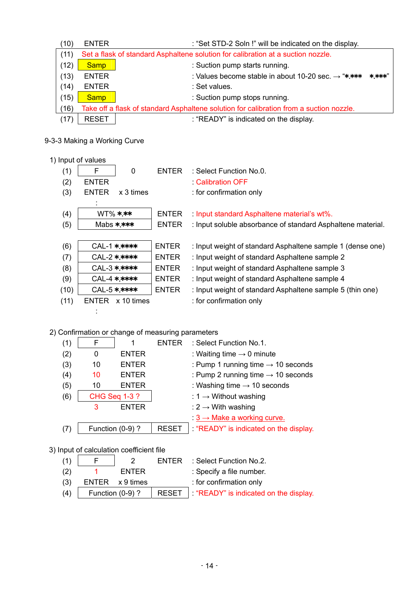| : "Set STD-2 Soln!" will be indicated on the display.<br><b>ENTER</b><br>(10)                   |         |
|-------------------------------------------------------------------------------------------------|---------|
| (11)<br>Set a flask of standard Asphaltene solution for calibration at a suction nozzle.        |         |
| (12)<br>: Suction pump starts running.<br><b>Samp</b>                                           |         |
| : Values become stable in about 10-20 sec. $\rightarrow$ "*.***<br><b>ENTER</b><br>(13)         | $****"$ |
| (14)<br><b>ENTER</b><br>: Set values.                                                           |         |
| (15)<br>: Suction pump stops running.<br><b>Samp</b>                                            |         |
| Take off a flask of standard Asphaltene solution for calibration from a suction nozzle.<br>(16) |         |
| <b>RESET</b><br>(17)<br>: "READY" is indicated on the display.                                  |         |

#### 9-3-3 Making a Working Curve

|      | 1) Input of values        |              |                                                             |
|------|---------------------------|--------------|-------------------------------------------------------------|
| (1)  | F<br>0                    | <b>ENTER</b> | : Select Function No.0.                                     |
| (2)  | <b>ENTER</b>              |              | Calibration OFF                                             |
| (3)  | <b>ENTER</b><br>x 3 times |              | : for confirmation only                                     |
|      |                           |              |                                                             |
| (4)  | $WT\% * **$               | <b>ENTER</b> | : Input standard Asphaltene material's wt%.                 |
| (5)  | Mabs $****$               | <b>ENTER</b> | : Input soluble absorbance of standard Asphaltene material. |
|      |                           |              |                                                             |
| (6)  | CAL-1 * *****             | <b>ENTER</b> | : Input weight of standard Asphaltene sample 1 (dense one)  |
| (7)  | $CAL-2$ *.****            | <b>ENTER</b> | : Input weight of standard Asphaltene sample 2              |
| (8)  | CAL-3 * *****             | <b>ENTER</b> | : Input weight of standard Asphaltene sample 3              |
| (9)  | $CAL-4$ * *****           | <b>ENTER</b> | : Input weight of standard Asphaltene sample 4              |
| (10) | CAL-5 *.****              | <b>ENTER</b> | : Input weight of standard Asphaltene sample 5 (thin one)   |
| (11) | ENTER<br>x 10 times       |              | : for confirmation only                                     |
|      |                           |              |                                                             |

#### 2) Confirmation or change of measuring parameters

| (1) | F                    |              | <b>ENTER</b> | : Select Function No.1.                        |
|-----|----------------------|--------------|--------------|------------------------------------------------|
| (2) | 0                    | <b>ENTER</b> |              | : Waiting time $\rightarrow$ 0 minute          |
| (3) | 10                   | <b>ENTER</b> |              | : Pump 1 running time $\rightarrow$ 10 seconds |
| (4) | 10                   | <b>ENTER</b> |              | : Pump 2 running time $\rightarrow$ 10 seconds |
| (5) | 10                   | <b>ENTER</b> |              | : Washing time $\rightarrow$ 10 seconds        |
| (6) | <b>CHG Seq 1-3 ?</b> |              |              | : 1 $\rightarrow$ Without washing              |
|     | з                    | <b>ENTER</b> |              | : $2 \rightarrow$ With washing                 |
|     |                      |              |              | $3 \rightarrow$ Make a working curve.          |
| (7) | Function (0-9)?      |              | <b>RESET</b> | "READY" is indicated on the display.           |

#### 3) Input of calculation coefficient file

| (1) |                 |       | ENTER : Select Function No.2.                      |
|-----|-----------------|-------|----------------------------------------------------|
| (2) | <b>ENTER</b>    |       | : Specify a file number.                           |
| (3) | ENTER x 9 times |       | : for confirmation only                            |
| (4) | Function (0-9)? | RESET | <b>EXALCE</b> "READY" is indicated on the display. |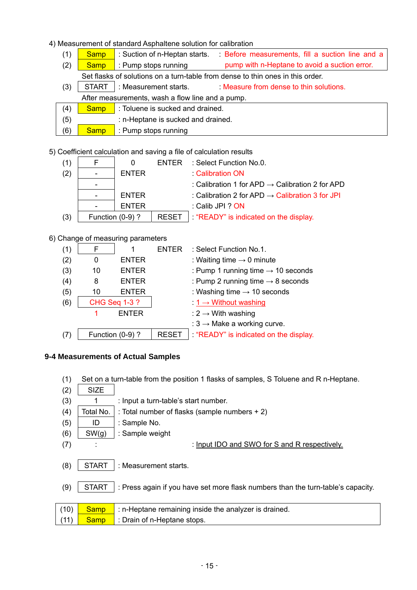<span id="page-15-0"></span>4) Measurement of standard Asphaltene solution for calibration

(1) Samp : Suction of n-Heptan starts. : Before measurements, fill a suction line and a (2)  $\overline{\hspace{0.1cm}}$  Samp : Pump stops running pump with n-Heptane to avoid a suction error.

Set flasks of solutions on a turn-table from dense to thin ones in this order.

(3) START : Measurement starts. : Measure from dense to thin solutions.

- After measurements, wash a flow line and a pump.
- $(4)$  Samp : Toluene is sucked and drained.
- (5) : n-Heptane is sucked and drained.
- $(6)$  Samp : Pump stops running

#### 5) Coefficient calculation and saving a file of calculation results

| (1) |                    |              | ENTER.       | : Select Function No.0.                                     |
|-----|--------------------|--------------|--------------|-------------------------------------------------------------|
| (2) |                    | <b>ENTER</b> |              | <b>Calibration ON</b>                                       |
|     |                    |              |              | : Calibration 1 for APD $\rightarrow$ Calibration 2 for APD |
|     |                    | <b>ENTER</b> |              | : Calibration 2 for APD $\rightarrow$ Calibration 3 for JPI |
|     |                    | <b>ENTER</b> |              | : Calib JPI ? ON                                            |
| (3) | Function $(0-9)$ ? |              | <b>RESET</b> | "READY" is indicated on the display.                        |

#### 6) Change of measuring parameters

| (1) | F                   |              | <b>ENTER</b> | : Select Function No.1.                        |
|-----|---------------------|--------------|--------------|------------------------------------------------|
| (2) | 0                   | <b>ENTER</b> |              | : Waiting time $\rightarrow$ 0 minute          |
| (3) | 10                  | <b>ENTER</b> |              | : Pump 1 running time $\rightarrow$ 10 seconds |
| (4) | 8                   | <b>ENTER</b> |              | : Pump 2 running time $\rightarrow$ 8 seconds  |
| (5) | 10                  | <b>ENTER</b> |              | : Washing time $\rightarrow$ 10 seconds        |
| (6) | <b>CHG Seq 1-3?</b> |              |              | $: 1 \rightarrow$ Without washing              |
|     | 1                   | <b>ENTER</b> |              | : $2 \rightarrow$ With washing                 |
|     |                     |              |              | : $3 \rightarrow$ Make a working curve.        |
| (7) | Function (0-9)?     |              | <b>RESET</b> | "READY" is indicated on the display.           |

#### **9-4 Measurements of Actual Samples**

- (1) Set on a turn-table from the position 1 flasks of samples, S Toluene and R n-Heptane.
- $(2)$  SIZE
- (3) 1 : Input a turn-table's start number.
- (4)  $\vert$  Total No.  $\vert$  : Total number of flasks (sample numbers + 2)
- $(5)$  ID : Sample No.
- $(6)$  SW(g) : Sample weight
- (7) : : Input IDO and SWO for S and R respectively.
- $(8)$  START : Measurement starts.
- (9) START : Press again if you have set more flask numbers than the turn-table's capacity.

| (10) | <b>Samp</b> : n-Heptane remaining inside the analyzer is drained. |  |
|------|-------------------------------------------------------------------|--|
| (11) | <b>Samp</b> : Drain of n-Heptane stops.                           |  |